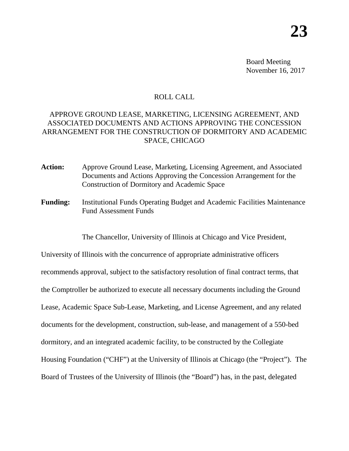Board Meeting November 16, 2017

## ROLL CALL

# APPROVE GROUND LEASE, MARKETING, LICENSING AGREEMENT, AND ASSOCIATED DOCUMENTS AND ACTIONS APPROVING THE CONCESSION ARRANGEMENT FOR THE CONSTRUCTION OF DORMITORY AND ACADEMIC SPACE, CHICAGO

- **Action:** Approve Ground Lease, Marketing, Licensing Agreement, and Associated Documents and Actions Approving the Concession Arrangement for the Construction of Dormitory and Academic Space
- **Funding:** Institutional Funds Operating Budget and Academic Facilities Maintenance Fund Assessment Funds

The Chancellor, University of Illinois at Chicago and Vice President,

University of Illinois with the concurrence of appropriate administrative officers recommends approval, subject to the satisfactory resolution of final contract terms, that the Comptroller be authorized to execute all necessary documents including the Ground Lease, Academic Space Sub-Lease, Marketing, and License Agreement, and any related documents for the development, construction, sub-lease, and management of a 550-bed dormitory, and an integrated academic facility, to be constructed by the Collegiate Housing Foundation ("CHF") at the University of Illinois at Chicago (the "Project"). The Board of Trustees of the University of Illinois (the "Board") has, in the past, delegated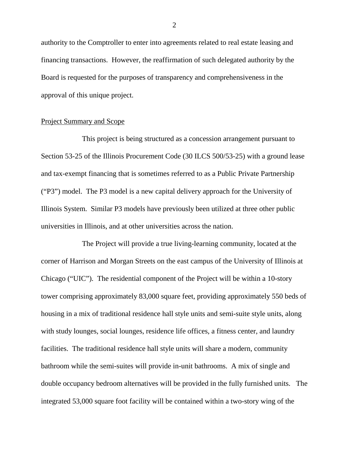authority to the Comptroller to enter into agreements related to real estate leasing and financing transactions. However, the reaffirmation of such delegated authority by the Board is requested for the purposes of transparency and comprehensiveness in the approval of this unique project.

#### Project Summary and Scope

This project is being structured as a concession arrangement pursuant to Section 53-25 of the Illinois Procurement Code (30 ILCS 500/53-25) with a ground lease and tax-exempt financing that is sometimes referred to as a Public Private Partnership ("P3") model. The P3 model is a new capital delivery approach for the University of Illinois System. Similar P3 models have previously been utilized at three other public universities in Illinois, and at other universities across the nation.

The Project will provide a true living-learning community, located at the corner of Harrison and Morgan Streets on the east campus of the University of Illinois at Chicago ("UIC"). The residential component of the Project will be within a 10-story tower comprising approximately 83,000 square feet, providing approximately 550 beds of housing in a mix of traditional residence hall style units and semi-suite style units, along with study lounges, social lounges, residence life offices, a fitness center, and laundry facilities. The traditional residence hall style units will share a modern, community bathroom while the semi-suites will provide in-unit bathrooms. A mix of single and double occupancy bedroom alternatives will be provided in the fully furnished units. The integrated 53,000 square foot facility will be contained within a two-story wing of the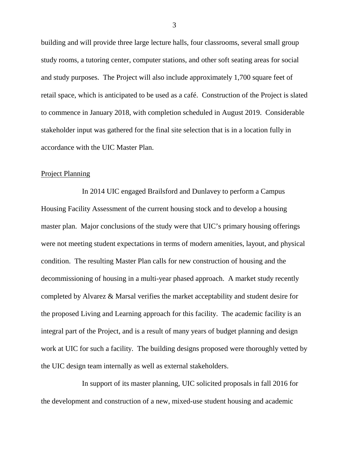building and will provide three large lecture halls, four classrooms, several small group study rooms, a tutoring center, computer stations, and other soft seating areas for social and study purposes. The Project will also include approximately 1,700 square feet of retail space, which is anticipated to be used as a café. Construction of the Project is slated to commence in January 2018, with completion scheduled in August 2019. Considerable stakeholder input was gathered for the final site selection that is in a location fully in accordance with the UIC Master Plan.

#### Project Planning

In 2014 UIC engaged Brailsford and Dunlavey to perform a Campus Housing Facility Assessment of the current housing stock and to develop a housing master plan. Major conclusions of the study were that UIC's primary housing offerings were not meeting student expectations in terms of modern amenities, layout, and physical condition. The resulting Master Plan calls for new construction of housing and the decommissioning of housing in a multi-year phased approach. A market study recently completed by Alvarez & Marsal verifies the market acceptability and student desire for the proposed Living and Learning approach for this facility. The academic facility is an integral part of the Project, and is a result of many years of budget planning and design work at UIC for such a facility. The building designs proposed were thoroughly vetted by the UIC design team internally as well as external stakeholders.

In support of its master planning, UIC solicited proposals in fall 2016 for the development and construction of a new, mixed-use student housing and academic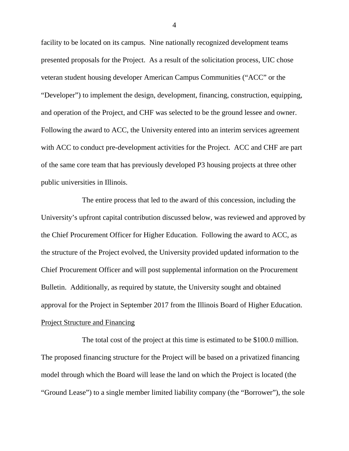facility to be located on its campus. Nine nationally recognized development teams presented proposals for the Project. As a result of the solicitation process, UIC chose veteran student housing developer American Campus Communities ("ACC" or the "Developer") to implement the design, development, financing, construction, equipping, and operation of the Project, and CHF was selected to be the ground lessee and owner. Following the award to ACC, the University entered into an interim services agreement with ACC to conduct pre-development activities for the Project. ACC and CHF are part of the same core team that has previously developed P3 housing projects at three other public universities in Illinois.

The entire process that led to the award of this concession, including the University's upfront capital contribution discussed below, was reviewed and approved by the Chief Procurement Officer for Higher Education. Following the award to ACC, as the structure of the Project evolved, the University provided updated information to the Chief Procurement Officer and will post supplemental information on the Procurement Bulletin. Additionally, as required by statute, the University sought and obtained approval for the Project in September 2017 from the Illinois Board of Higher Education. Project Structure and Financing

The total cost of the project at this time is estimated to be \$100.0 million. The proposed financing structure for the Project will be based on a privatized financing model through which the Board will lease the land on which the Project is located (the "Ground Lease") to a single member limited liability company (the "Borrower"), the sole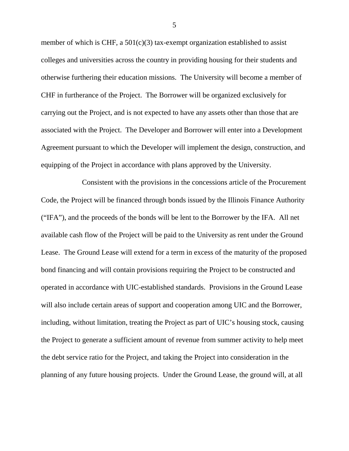member of which is CHF, a  $501(c)(3)$  tax-exempt organization established to assist colleges and universities across the country in providing housing for their students and otherwise furthering their education missions. The University will become a member of CHF in furtherance of the Project. The Borrower will be organized exclusively for carrying out the Project, and is not expected to have any assets other than those that are associated with the Project. The Developer and Borrower will enter into a Development Agreement pursuant to which the Developer will implement the design, construction, and equipping of the Project in accordance with plans approved by the University.

Consistent with the provisions in the concessions article of the Procurement Code, the Project will be financed through bonds issued by the Illinois Finance Authority ("IFA"), and the proceeds of the bonds will be lent to the Borrower by the IFA. All net available cash flow of the Project will be paid to the University as rent under the Ground Lease. The Ground Lease will extend for a term in excess of the maturity of the proposed bond financing and will contain provisions requiring the Project to be constructed and operated in accordance with UIC-established standards. Provisions in the Ground Lease will also include certain areas of support and cooperation among UIC and the Borrower, including, without limitation, treating the Project as part of UIC's housing stock, causing the Project to generate a sufficient amount of revenue from summer activity to help meet the debt service ratio for the Project, and taking the Project into consideration in the planning of any future housing projects. Under the Ground Lease, the ground will, at all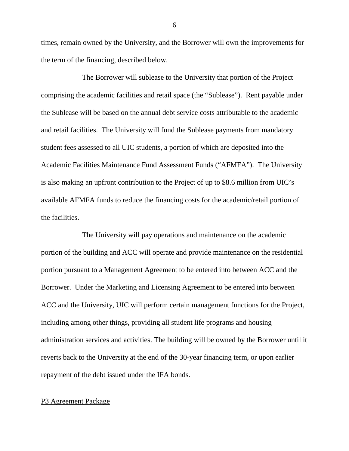times, remain owned by the University, and the Borrower will own the improvements for the term of the financing, described below.

The Borrower will sublease to the University that portion of the Project comprising the academic facilities and retail space (the "Sublease"). Rent payable under the Sublease will be based on the annual debt service costs attributable to the academic and retail facilities. The University will fund the Sublease payments from mandatory student fees assessed to all UIC students, a portion of which are deposited into the Academic Facilities Maintenance Fund Assessment Funds ("AFMFA"). The University is also making an upfront contribution to the Project of up to \$8.6 million from UIC's available AFMFA funds to reduce the financing costs for the academic/retail portion of the facilities.

The University will pay operations and maintenance on the academic portion of the building and ACC will operate and provide maintenance on the residential portion pursuant to a Management Agreement to be entered into between ACC and the Borrower. Under the Marketing and Licensing Agreement to be entered into between ACC and the University, UIC will perform certain management functions for the Project, including among other things, providing all student life programs and housing administration services and activities. The building will be owned by the Borrower until it reverts back to the University at the end of the 30-year financing term, or upon earlier repayment of the debt issued under the IFA bonds.

### P3 Agreement Package